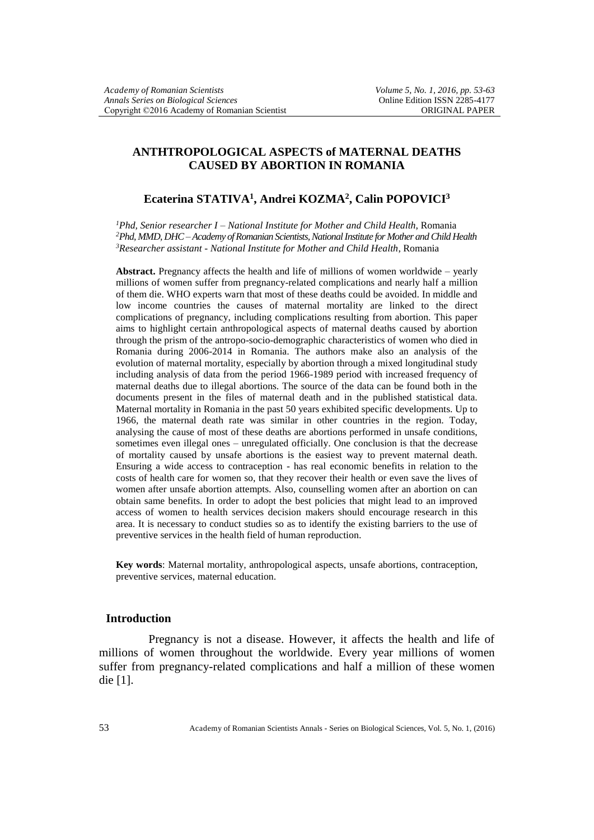# **ANTHTROPOLOGICAL ASPECTS of MATERNAL DEATHS CAUSED BY ABORTION IN ROMANIA**

## **Ecaterina STATIVA<sup>1</sup> , Andrei KOZMA<sup>2</sup> , Calin POPOVICI<sup>3</sup>**

*<sup>1</sup>Phd, Senior researcher I – National Institute for Mother and Child Health*, Romania *<sup>2</sup>Phd, MMD, DHC –Academy of Romanian Scientists, National Institute for Mother and Child Health <sup>3</sup>Researcher assistant - National Institute for Mother and Child Health*, Romania

**Abstract.** Pregnancy affects the health and life of millions of women worldwide – yearly millions of women suffer from pregnancy-related complications and nearly half a million of them die. WHO experts warn that most of these deaths could be avoided. In middle and low income countries the causes of maternal mortality are linked to the direct complications of pregnancy, including complications resulting from abortion. This paper aims to highlight certain anthropological aspects of maternal deaths caused by abortion through the prism of the antropo-socio-demographic characteristics of women who died in Romania during 2006-2014 in Romania. The authors make also an analysis of the evolution of maternal mortality, especially by abortion through a mixed longitudinal study including analysis of data from the period 1966-1989 period with increased frequency of maternal deaths due to illegal abortions. The source of the data can be found both in the documents present in the files of maternal death and in the published statistical data. Maternal mortality in Romania in the past 50 years exhibited specific developments. Up to 1966, the maternal death rate was similar in other countries in the region. Today, analysing the cause of most of these deaths are abortions performed in unsafe conditions, sometimes even illegal ones – unregulated officially. One conclusion is that the decrease of mortality caused by unsafe abortions is the easiest way to prevent maternal death. Ensuring a wide access to contraception - has real economic benefits in relation to the costs of health care for women so, that they recover their health or even save the lives of women after unsafe abortion attempts. Also, counselling women after an abortion on can obtain same benefits. In order to adopt the best policies that might lead to an improved access of women to health services decision makers should encourage research in this area. It is necessary to conduct studies so as to identify the existing barriers to the use of preventive services in the health field of human reproduction.

**Key words**: Maternal mortality, anthropological aspects, unsafe abortions, contraception, preventive services, maternal education.

### **Introduction**

Pregnancy is not a disease. However, it affects the health and life of millions of women throughout the worldwide. Every year millions of women suffer from pregnancy-related complications and half a million of these women die [1].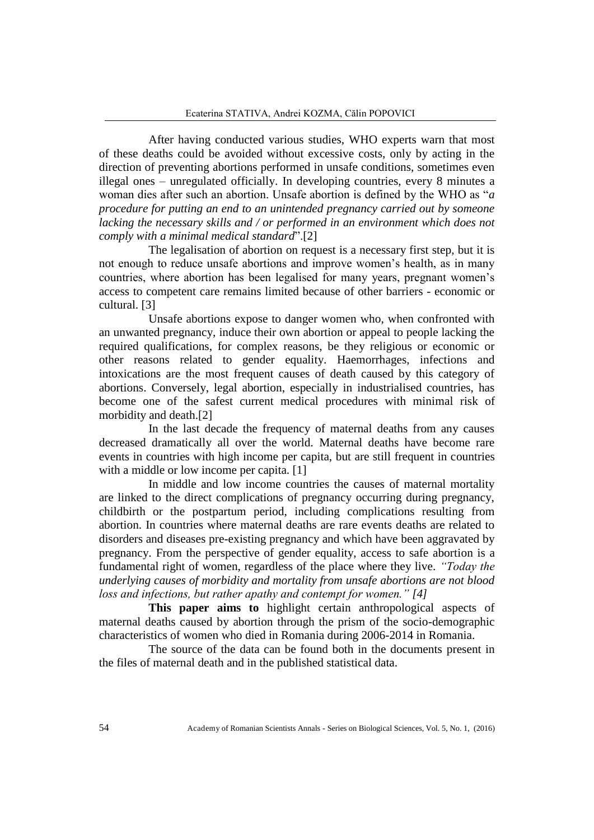After having conducted various studies, WHO experts warn that most of these deaths could be avoided without excessive costs, only by acting in the direction of preventing abortions performed in unsafe conditions, sometimes even illegal ones – unregulated officially. In developing countries, every 8 minutes a woman dies after such an abortion. Unsafe abortion is defined by the WHO as "*a procedure for putting an end to an unintended pregnancy carried out by someone lacking the necessary skills and / or performed in an environment which does not comply with a minimal medical standard*".[2]

The legalisation of abortion on request is a necessary first step, but it is not enough to reduce unsafe abortions and improve women's health, as in many countries, where abortion has been legalised for many years, pregnant women's access to competent care remains limited because of other barriers - economic or cultural. [3]

Unsafe abortions expose to danger women who, when confronted with an unwanted pregnancy, induce their own abortion or appeal to people lacking the required qualifications, for complex reasons, be they religious or economic or other reasons related to gender equality. Haemorrhages, infections and intoxications are the most frequent causes of death caused by this category of abortions. Conversely, legal abortion, especially in industrialised countries, has become one of the safest current medical procedures with minimal risk of morbidity and death.[2]

In the last decade the frequency of maternal deaths from any causes decreased dramatically all over the world. Maternal deaths have become rare events in countries with high income per capita, but are still frequent in countries with a middle or low income per capita. [1]

In middle and low income countries the causes of maternal mortality are linked to the direct complications of pregnancy occurring during pregnancy, childbirth or the postpartum period, including complications resulting from abortion. In countries where maternal deaths are rare events deaths are related to disorders and diseases pre-existing pregnancy and which have been aggravated by pregnancy. From the perspective of gender equality, access to safe abortion is a fundamental right of women, regardless of the place where they live. *"Today the underlying causes of morbidity and mortality from unsafe abortions are not blood loss and infections, but rather apathy and contempt for women." [4]* 

**This paper aims to** highlight certain anthropological aspects of maternal deaths caused by abortion through the prism of the socio-demographic characteristics of women who died in Romania during 2006-2014 in Romania.

The source of the data can be found both in the documents present in the files of maternal death and in the published statistical data.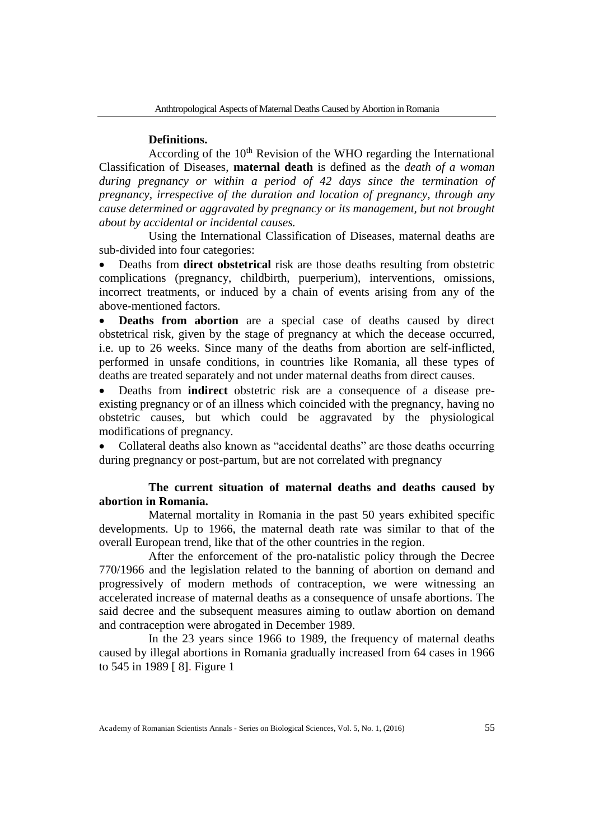#### **Definitions.**

According of the  $10<sup>th</sup>$  Revision of the WHO regarding the International Classification of Diseases, **maternal death** is defined as the *death of a woman during pregnancy or within a period of 42 days since the termination of pregnancy, irrespective of the duration and location of pregnancy, through any cause determined or aggravated by pregnancy or its management, but not brought about by accidental or incidental causes.*

Using the International Classification of Diseases, maternal deaths are sub-divided into four categories:

 Deaths from **direct obstetrical** risk are those deaths resulting from obstetric complications (pregnancy, childbirth, puerperium), interventions, omissions, incorrect treatments, or induced by a chain of events arising from any of the above-mentioned factors.

 **Deaths from abortion** are a special case of deaths caused by direct obstetrical risk, given by the stage of pregnancy at which the decease occurred, i.e. up to 26 weeks. Since many of the deaths from abortion are self-inflicted, performed in unsafe conditions, in countries like Romania, all these types of deaths are treated separately and not under maternal deaths from direct causes.

 Deaths from **indirect** obstetric risk are a consequence of a disease preexisting pregnancy or of an illness which coincided with the pregnancy, having no obstetric causes, but which could be aggravated by the physiological modifications of pregnancy.

 Collateral deaths also known as "accidental deaths" are those deaths occurring during pregnancy or post-partum, but are not correlated with pregnancy

## **The current situation of maternal deaths and deaths caused by abortion in Romania.**

Maternal mortality in Romania in the past 50 years exhibited specific developments. Up to 1966, the maternal death rate was similar to that of the overall European trend, like that of the other countries in the region.

After the enforcement of the pro-natalistic policy through the Decree 770/1966 and the legislation related to the banning of abortion on demand and progressively of modern methods of contraception, we were witnessing an accelerated increase of maternal deaths as a consequence of unsafe abortions. The said decree and the subsequent measures aiming to outlaw abortion on demand and contraception were abrogated in December 1989.

In the 23 years since 1966 to 1989, the frequency of maternal deaths caused by illegal abortions in Romania gradually increased from 64 cases in 1966 to 545 in 1989 [ 8]. Figure 1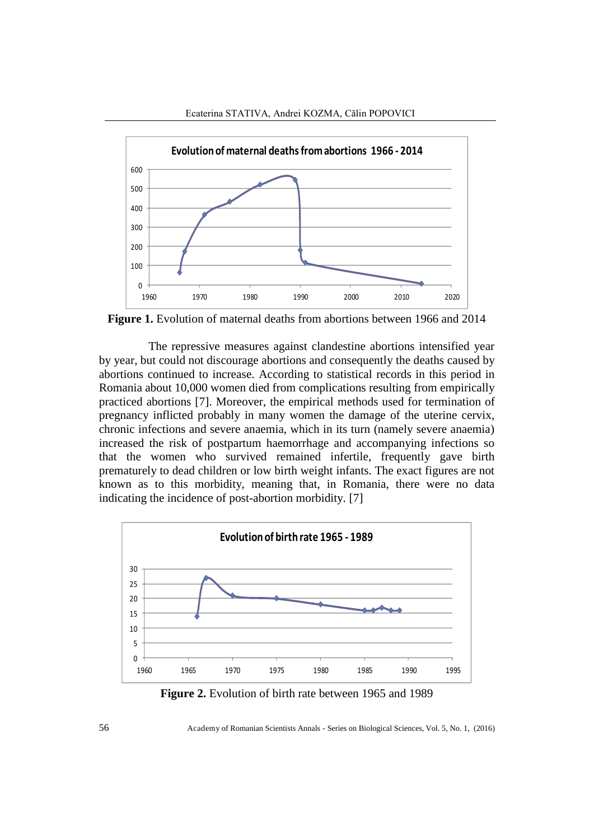



**Figure 1.** Evolution of maternal deaths from abortions between 1966 and 2014

The repressive measures against clandestine abortions intensified year by year, but could not discourage abortions and consequently the deaths caused by abortions continued to increase. According to statistical records in this period in Romania about 10,000 women died from complications resulting from empirically practiced abortions [7]. Moreover, the empirical methods used for termination of pregnancy inflicted probably in many women the damage of the uterine cervix, chronic infections and severe anaemia, which in its turn (namely severe anaemia) increased the risk of postpartum haemorrhage and accompanying infections so that the women who survived remained infertile, frequently gave birth prematurely to dead children or low birth weight infants. The exact figures are not known as to this morbidity, meaning that, in Romania, there were no data indicating the incidence of post-abortion morbidity. [7]



**Figure 2.** Evolution of birth rate between 1965 and 1989

56 Academy of Romanian Scientists Annals - Series on Biological Sciences, Vol. 5, No. 1, (2016)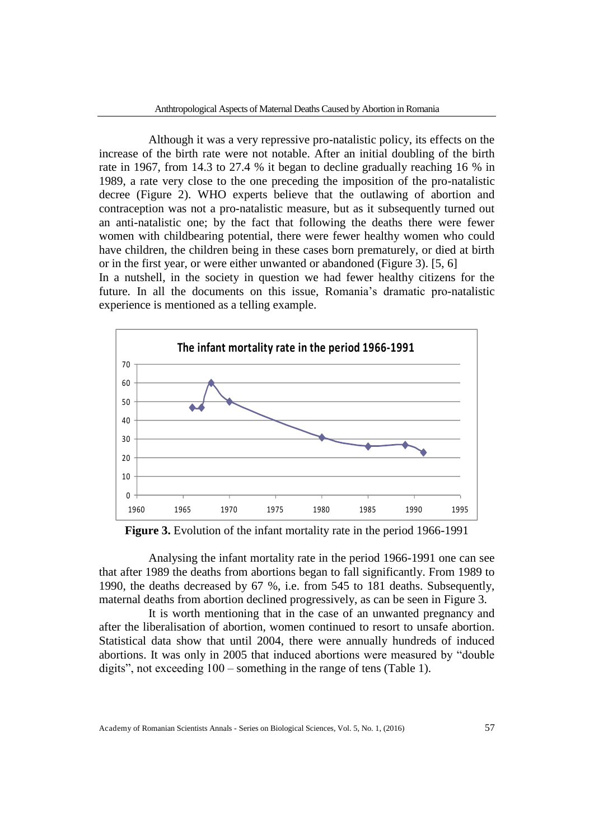Although it was a very repressive pro-natalistic policy, its effects on the increase of the birth rate were not notable. After an initial doubling of the birth rate in 1967, from 14.3 to 27.4 % it began to decline gradually reaching 16 % in 1989, a rate very close to the one preceding the imposition of the pro-natalistic decree (Figure 2). WHO experts believe that the outlawing of abortion and contraception was not a pro-natalistic measure, but as it subsequently turned out an anti-natalistic one; by the fact that following the deaths there were fewer women with childbearing potential, there were fewer healthy women who could have children, the children being in these cases born prematurely, or died at birth or in the first year, or were either unwanted or abandoned (Figure 3). [5, 6]

In a nutshell, in the society in question we had fewer healthy citizens for the future. In all the documents on this issue, Romania's dramatic pro-natalistic experience is mentioned as a telling example.



**Figure 3.** Evolution of the infant mortality rate in the period 1966-1991

Analysing the infant mortality rate in the period 1966-1991 one can see that after 1989 the deaths from abortions began to fall significantly. From 1989 to 1990, the deaths decreased by 67 %, i.e. from 545 to 181 deaths. Subsequently, maternal deaths from abortion declined progressively, as can be seen in Figure 3.

It is worth mentioning that in the case of an unwanted pregnancy and after the liberalisation of abortion, women continued to resort to unsafe abortion. Statistical data show that until 2004, there were annually hundreds of induced abortions. It was only in 2005 that induced abortions were measured by "double digits", not exceeding 100 – something in the range of tens (Table 1).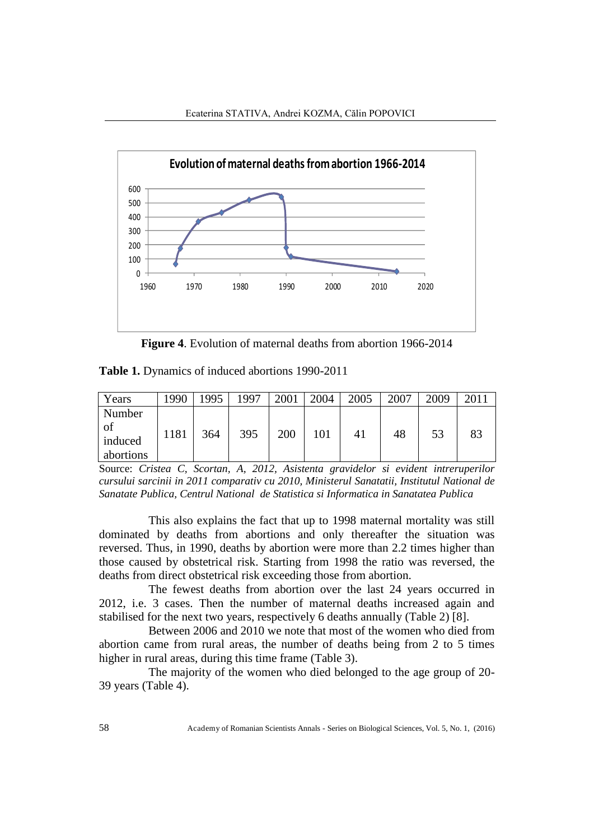

**Figure 4**. Evolution of maternal deaths from abortion 1966-2014

**Table 1.** Dynamics of induced abortions 1990-2011

| Years                                | 1990 | 1995 | 1997 | 2001 | 2004 | 2005 | 2007 | 2009 | 2011 |
|--------------------------------------|------|------|------|------|------|------|------|------|------|
| Number<br>of<br>induced<br>abortions | 1181 | 364  | 395  | 200  | 101  | 41   | 48   | 53   | 83   |

Source: *Cristea C, Scortan, A, 2012, Asistenta gravidelor si evident intreruperilor cursului sarcinii in 2011 comparativ cu 2010, Ministerul Sanatatii, Institutul National de Sanatate Publica, Centrul National de Statistica si Informatica in Sanatatea Publica*

This also explains the fact that up to 1998 maternal mortality was still dominated by deaths from abortions and only thereafter the situation was reversed. Thus, in 1990, deaths by abortion were more than 2.2 times higher than those caused by obstetrical risk. Starting from 1998 the ratio was reversed, the deaths from direct obstetrical risk exceeding those from abortion.

The fewest deaths from abortion over the last 24 years occurred in 2012, i.e. 3 cases. Then the number of maternal deaths increased again and stabilised for the next two years, respectively 6 deaths annually (Table 2) [8].

Between 2006 and 2010 we note that most of the women who died from abortion came from rural areas, the number of deaths being from 2 to 5 times higher in rural areas, during this time frame (Table 3).

The majority of the women who died belonged to the age group of 20- 39 years (Table 4).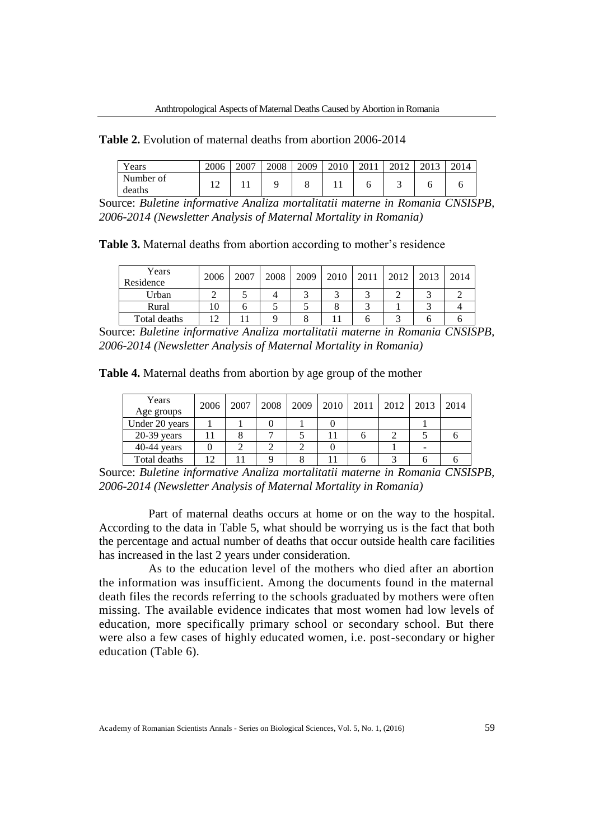### **Table 2.** Evolution of maternal deaths from abortion 2006-2014

| <b>T</b><br>ears    | 2006 | 2007 | 2008 | 2009 | 2010 | 2011 | 2012 | 2012 | 2014 |
|---------------------|------|------|------|------|------|------|------|------|------|
| Number of<br>deaths | ∸    |      |      |      |      |      | ◡    |      |      |

Source: *Buletine informative Analiza mortalitatii materne in Romania CNSISPB, 2006-2014 (Newsletter Analysis of Maternal Mortality in Romania)*

**Table 3.** Maternal deaths from abortion according to mother's residence

| Years<br>Residence | 2006 | 2007 | 2008 | 2009 | $2010$   2011 | 2012 | 2013 | 2014 |
|--------------------|------|------|------|------|---------------|------|------|------|
| Urban              |      |      |      |      |               |      |      |      |
| Rural              |      |      |      |      |               |      |      |      |
| Total deaths       | 12   |      |      |      |               |      |      |      |

Source: *Buletine informative Analiza mortalitatii materne in Romania CNSISPB, 2006-2014 (Newsletter Analysis of Maternal Mortality in Romania)*

|  | Table 4. Maternal deaths from abortion by age group of the mother |  |  |  |  |  |  |  |  |  |
|--|-------------------------------------------------------------------|--|--|--|--|--|--|--|--|--|
|--|-------------------------------------------------------------------|--|--|--|--|--|--|--|--|--|

| Years<br>Age groups | 2006 | 2007 | 2008 | 2009 | 2010 | 2011 l | 2012 | 2013 | 2014 |
|---------------------|------|------|------|------|------|--------|------|------|------|
| Under 20 years      |      |      |      |      |      |        |      |      |      |
| $20-39$ years       |      |      |      |      |      |        |      |      |      |
| $40-44$ years       |      |      |      |      |      |        |      |      |      |
| Total deaths        | 1 ^  |      |      |      |      |        |      |      |      |

Source: *Buletine informative Analiza mortalitatii materne in Romania CNSISPB, 2006-2014 (Newsletter Analysis of Maternal Mortality in Romania)*

Part of maternal deaths occurs at home or on the way to the hospital. According to the data in Table 5, what should be worrying us is the fact that both the percentage and actual number of deaths that occur outside health care facilities has increased in the last 2 years under consideration.

As to the education level of the mothers who died after an abortion the information was insufficient. Among the documents found in the maternal death files the records referring to the schools graduated by mothers were often missing. The available evidence indicates that most women had low levels of education, more specifically primary school or secondary school. But there were also a few cases of highly educated women, i.e. post-secondary or higher education (Table 6).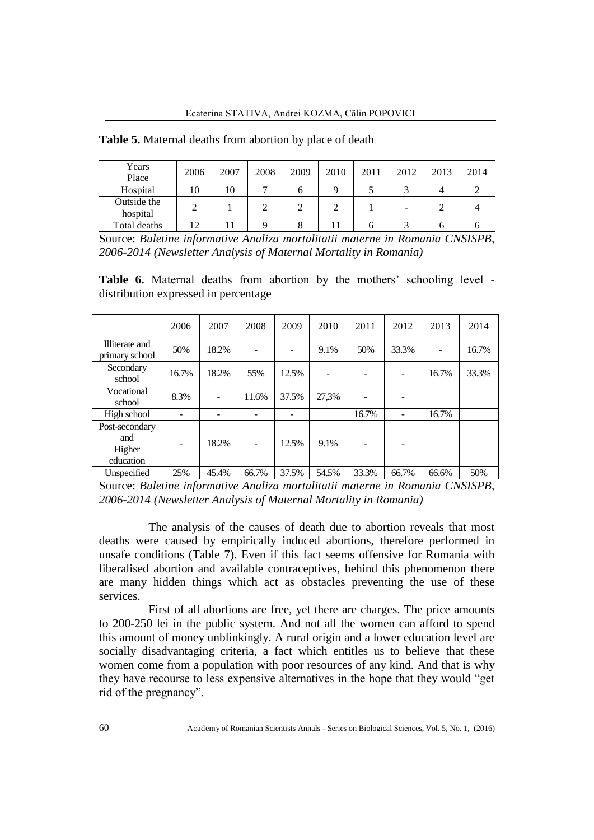| Years<br>Place          | 2006 | 2007 | 2008 | 2009 | 2010 | 2011 | 2012 | 2013 | 2014 |
|-------------------------|------|------|------|------|------|------|------|------|------|
| Hospital                | 10   | 10   |      | n    |      |      |      |      |      |
| Outside the<br>hospital |      |      |      |      |      |      |      |      |      |
| Total deaths            | 1つ   |      |      | Ō    |      | n    |      |      |      |

**Table 5.** Maternal deaths from abortion by place of death

Source: *Buletine informative Analiza mortalitatii materne in Romania CNSISPB, 2006-2014 (Newsletter Analysis of Maternal Mortality in Romania)*

**Table 6.** Maternal deaths from abortion by the mothers' schooling level distribution expressed in percentage

|                                              | 2006  | 2007  | 2008                     | 2009  | 2010  | 2011  | 2012  | 2013  | 2014  |
|----------------------------------------------|-------|-------|--------------------------|-------|-------|-------|-------|-------|-------|
| Illiterate and<br>primary school             | 50%   | 18.2% |                          |       | 9.1%  | 50%   | 33.3% |       | 16.7% |
| Secondary<br>school                          | 16.7% | 18.2% | 55%                      | 12.5% |       |       |       | 16.7% | 33.3% |
| Vocational<br>school                         | 8.3%  |       | 11.6%                    | 37.5% | 27,3% |       |       |       |       |
| High school                                  | ۰     |       |                          |       |       | 16.7% |       | 16.7% |       |
| Post-secondary<br>and<br>Higher<br>education | -     | 18.2% | $\overline{\phantom{0}}$ | 12.5% | 9.1%  |       |       |       |       |
| Unspecified                                  | 25%   | 45.4% | 66.7%                    | 37.5% | 54.5% | 33.3% | 66.7% | 66.6% | 50%   |

Source: *Buletine informative Analiza mortalitatii materne in Romania CNSISPB, 2006-2014 (Newsletter Analysis of Maternal Mortality in Romania)*

The analysis of the causes of death due to abortion reveals that most deaths were caused by empirically induced abortions, therefore performed in unsafe conditions (Table 7). Even if this fact seems offensive for Romania with liberalised abortion and available contraceptives, behind this phenomenon there are many hidden things which act as obstacles preventing the use of these services.

First of all abortions are free, yet there are charges. The price amounts to 200-250 lei in the public system. And not all the women can afford to spend this amount of money unblinkingly. A rural origin and a lower education level are socially disadvantaging criteria, a fact which entitles us to believe that these women come from a population with poor resources of any kind. And that is why they have recourse to less expensive alternatives in the hope that they would "get rid of the pregnancy".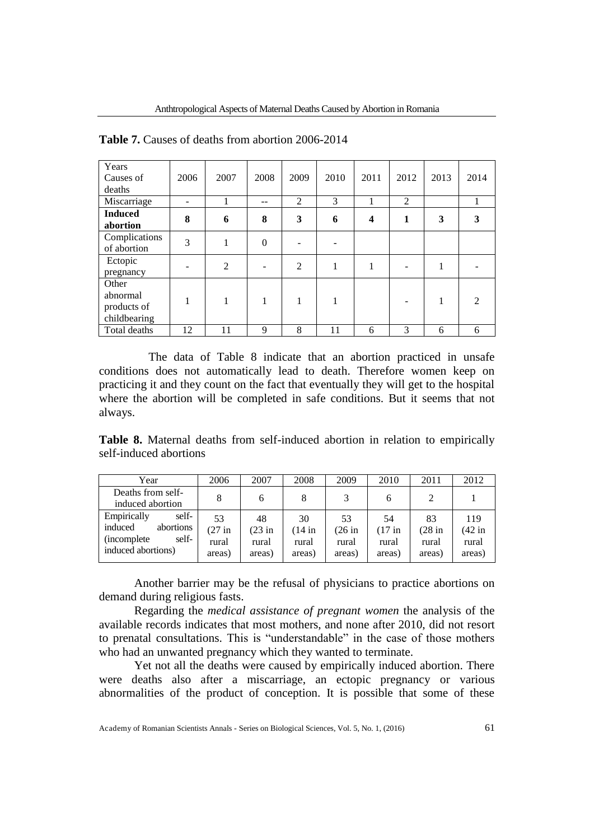| Years<br>Causes of<br>deaths                     | 2006 | 2007           | 2008     | 2009 | 2010 | 2011             | 2012 | 2013 | 2014           |
|--------------------------------------------------|------|----------------|----------|------|------|------------------|------|------|----------------|
| Miscarriage                                      |      |                | --       | 2    | 3    |                  | 2    |      |                |
| <b>Induced</b><br>abortion                       | 8    | 6              | 8        | 3    | 6    | $\boldsymbol{4}$ | 1    | 3    | 3              |
| Complications<br>of abortion                     | 3    | 1              | $\theta$ |      |      |                  |      |      |                |
| Ectopic<br>pregnancy                             |      | $\overline{2}$ |          | 2    | 1    | 1                |      | 1    |                |
| Other<br>abnormal<br>products of<br>childbearing |      | 1              |          |      | 1    |                  |      | 1    | $\mathfrak{D}$ |
| Total deaths                                     | 12   | 11             | 9        | 8    | 11   | 6                | 3    | 6    | 6              |

**Table 7.** Causes of deaths from abortion 2006-2014

The data of Table 8 indicate that an abortion practiced in unsafe conditions does not automatically lead to death. Therefore women keep on practicing it and they count on the fact that eventually they will get to the hospital where the abortion will be completed in safe conditions. But it seems that not always.

**Table 8.** Maternal deaths from self-induced abortion in relation to empirically self-induced abortions

| Year                                                                                               | 2006                              | 2007                              | 2008                              | 2009                              | 2010                              | 2011                              | 2012                                       |
|----------------------------------------------------------------------------------------------------|-----------------------------------|-----------------------------------|-----------------------------------|-----------------------------------|-----------------------------------|-----------------------------------|--------------------------------------------|
| Deaths from self-<br>induced abortion                                                              | 8                                 | 6                                 |                                   |                                   |                                   |                                   |                                            |
| self-<br>Empirically<br>induced<br>abortions<br>self-<br><i>(incomplete)</i><br>induced abortions) | 53<br>$(27$ in<br>rural<br>areas) | 48<br>$(23$ in<br>rural<br>areas) | 30<br>$(14$ in<br>rural<br>areas) | 53<br>$(26$ in<br>rural<br>areas) | 54<br>$(17$ in<br>rural<br>areas) | 83<br>$(28$ in<br>rural<br>areas) | 119<br>$(42 \text{ in}$<br>rural<br>areas) |

Another barrier may be the refusal of physicians to practice abortions on demand during religious fasts.

Regarding the *medical assistance of pregnant women* the analysis of the available records indicates that most mothers, and none after 2010, did not resort to prenatal consultations. This is "understandable" in the case of those mothers who had an unwanted pregnancy which they wanted to terminate.

Yet not all the deaths were caused by empirically induced abortion. There were deaths also after a miscarriage, an ectopic pregnancy or various abnormalities of the product of conception. It is possible that some of these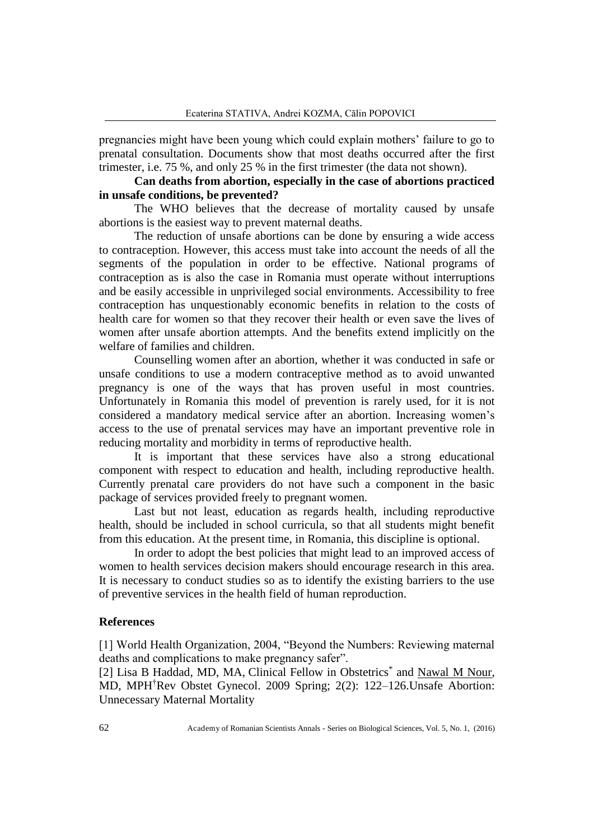pregnancies might have been young which could explain mothers' failure to go to prenatal consultation. Documents show that most deaths occurred after the first trimester, i.e. 75 %, and only 25 % in the first trimester (the data not shown).

# **Can deaths from abortion, especially in the case of abortions practiced in unsafe conditions, be prevented?**

The WHO believes that the decrease of mortality caused by unsafe abortions is the easiest way to prevent maternal deaths.

The reduction of unsafe abortions can be done by ensuring a wide access to contraception. However, this access must take into account the needs of all the segments of the population in order to be effective. National programs of contraception as is also the case in Romania must operate without interruptions and be easily accessible in unprivileged social environments. Accessibility to free contraception has unquestionably economic benefits in relation to the costs of health care for women so that they recover their health or even save the lives of women after unsafe abortion attempts. And the benefits extend implicitly on the welfare of families and children.

Counselling women after an abortion, whether it was conducted in safe or unsafe conditions to use a modern contraceptive method as to avoid unwanted pregnancy is one of the ways that has proven useful in most countries. Unfortunately in Romania this model of prevention is rarely used, for it is not considered a mandatory medical service after an abortion. Increasing women's access to the use of prenatal services may have an important preventive role in reducing mortality and morbidity in terms of reproductive health.

It is important that these services have also a strong educational component with respect to education and health, including reproductive health. Currently prenatal care providers do not have such a component in the basic package of services provided freely to pregnant women.

Last but not least, education as regards health, including reproductive health, should be included in school curricula, so that all students might benefit from this education. At the present time, in Romania, this discipline is optional.

In order to adopt the best policies that might lead to an improved access of women to health services decision makers should encourage research in this area. It is necessary to conduct studies so as to identify the existing barriers to the use of preventive services in the health field of human reproduction.

#### **References**

[1] World Health Organization, 2004, "Beyond the Numbers: Reviewing maternal deaths and complications to make pregnancy safer".

[2] [Lisa B Haddad,](http://www.ncbi.nlm.nih.gov/pubmed/?term=Haddad%20LB%5Bauth%5D) MD, MA, Clinical Fellow in Obstetrics<sup>\*</sup> and [Nawal M Nour,](http://www.ncbi.nlm.nih.gov/pubmed/?term=Nour%20NM%5Bauth%5D) MD, MPH†Rev Obstet Gynecol. 2009 Spring; 2(2): 122–126.Unsafe Abortion: Unnecessary Maternal Mortality